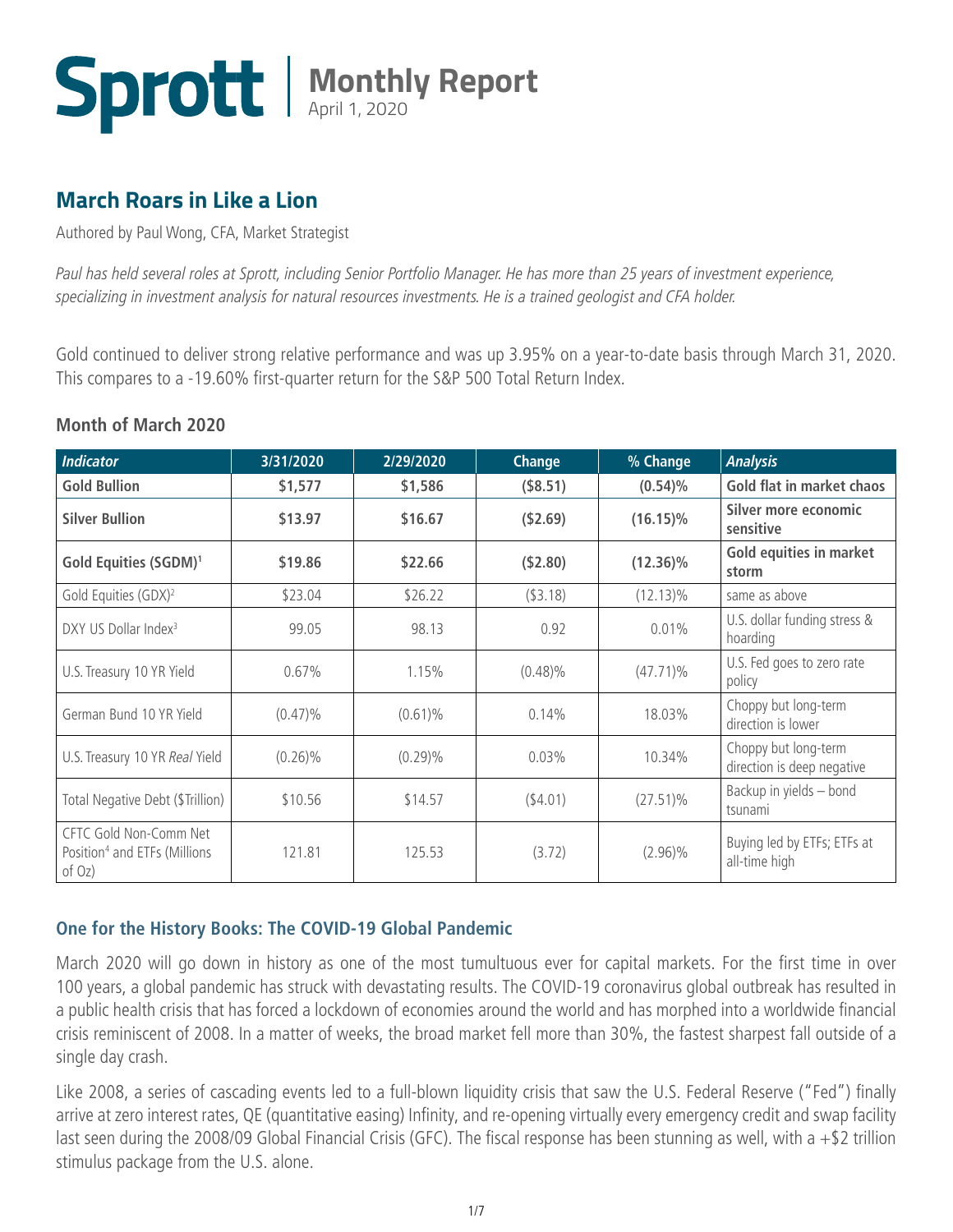

### **March Roars in Like a Lion**

Authored by Paul Wong, CFA, Market Strategist

*Paul has held several roles at Sprott, including Senior Portfolio Manager. He has more than 25 years of investment experience, specializing in investment analysis for natural resources investments. He is a trained geologist and CFA holder.* 

Gold continued to deliver strong relative performance and was up 3.95% on a year-to-date basis through March 31, 2020. This compares to a -19.60% first-quarter return for the S&P 500 Total Return Index.

#### **Month of March 2020**

| <b>Indicator</b>                                                              | 3/31/2020  | 2/29/2020  | Change      | % Change    | <b>Analysis</b>                                    |
|-------------------------------------------------------------------------------|------------|------------|-------------|-------------|----------------------------------------------------|
| <b>Gold Bullion</b>                                                           | \$1,577    | \$1,586    | (\$8.51)    | $(0.54)\%$  | Gold flat in market chaos                          |
| <b>Silver Bullion</b>                                                         | \$13.97    | \$16.67    | ( \$2.69)   | $(16.15)\%$ | Silver more economic<br>sensitive                  |
| Gold Equities (SGDM) <sup>1</sup>                                             | \$19.86    | \$22.66    | (\$2.80)    | $(12.36)\%$ | <b>Gold equities in market</b><br>storm            |
| Gold Equities (GDX) <sup>2</sup>                                              | \$23.04    | \$26.22    | $($ \$3.18) | $(12.13)\%$ | same as above                                      |
| DXY US Dollar Index <sup>3</sup>                                              | 99.05      | 98.13      | 0.92        | $0.01\%$    | U.S. dollar funding stress &<br>hoarding           |
| U.S. Treasury 10 YR Yield                                                     | 0.67%      | 1.15%      | $(0.48)\%$  | $(47.71)\%$ | U.S. Fed goes to zero rate<br>policy               |
| German Bund 10 YR Yield                                                       | $(0.47)\%$ | $(0.61)\%$ | 0.14%       | 18.03%      | Choppy but long-term<br>direction is lower         |
| U.S. Treasury 10 YR Real Yield                                                | $(0.26)\%$ | $(0.29)\%$ | 0.03%       | 10.34%      | Choppy but long-term<br>direction is deep negative |
| Total Negative Debt (\$Trillion)                                              | \$10.56    | \$14.57    | $($ \$4.01) | $(27.51)\%$ | Backup in yields - bond<br>tsunami                 |
| CFTC Gold Non-Comm Net<br>Position <sup>4</sup> and ETFs (Millions)<br>of Oz) | 121.81     | 125.53     | (3.72)      | $(2.96)\%$  | Buying led by ETFs; ETFs at<br>all-time high       |

#### **One for the History Books: The COVID-19 Global Pandemic**

March 2020 will go down in history as one of the most tumultuous ever for capital markets. For the first time in over 100 years, a global pandemic has struck with devastating results. The COVID-19 coronavirus global outbreak has resulted in a public health crisis that has forced a lockdown of economies around the world and has morphed into a worldwide financial crisis reminiscent of 2008. In a matter of weeks, the broad market fell more than 30%, the fastest sharpest fall outside of a single day crash.

Like 2008, a series of cascading events led to a full-blown liquidity crisis that saw the U.S. Federal Reserve ("Fed") finally arrive at zero interest rates, QE (quantitative easing) Infinity, and re-opening virtually every emergency credit and swap facility last seen during the 2008/09 Global Financial Crisis (GFC). The fiscal response has been stunning as well, with a  $+$ \$2 trillion stimulus package from the U.S. alone.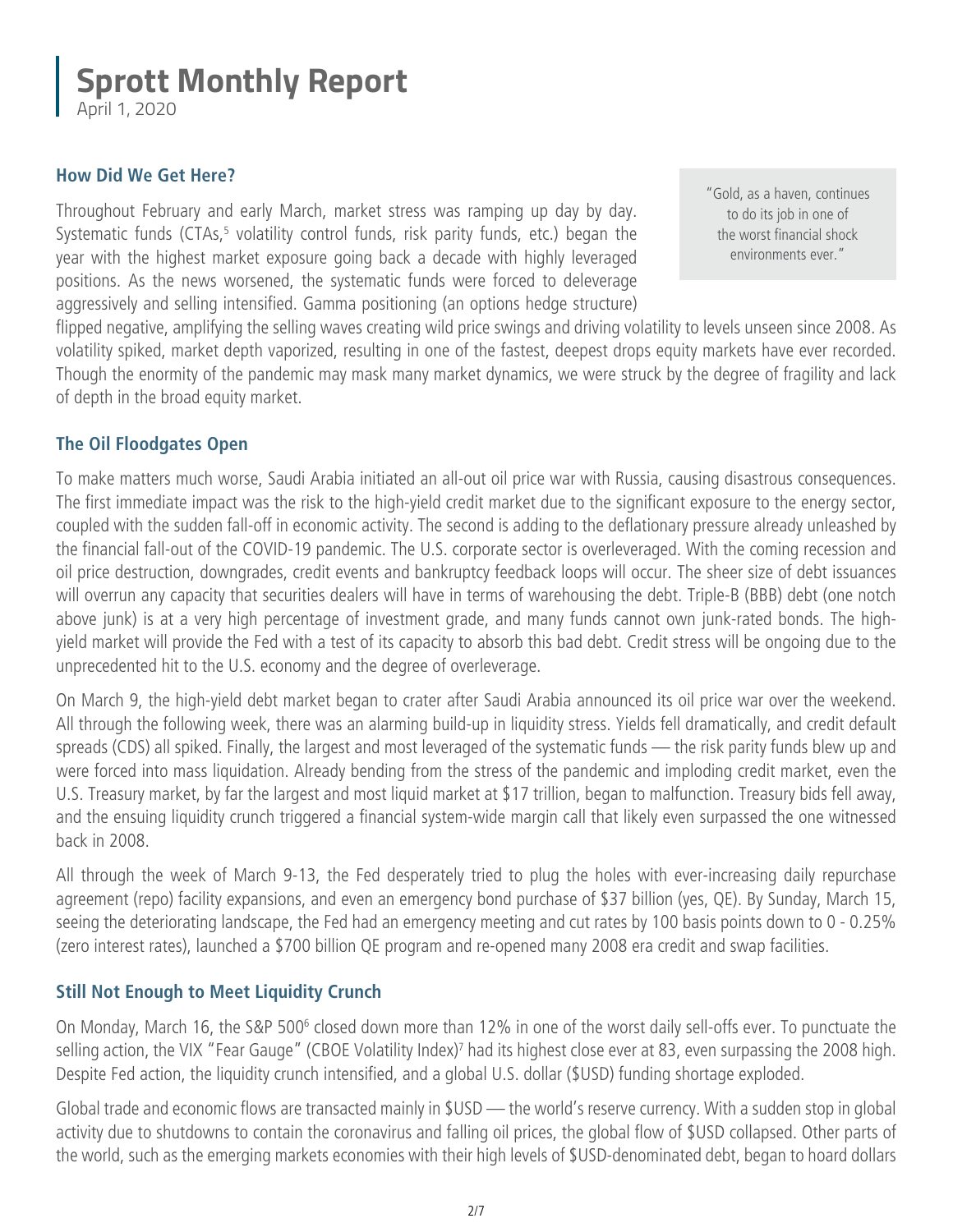April 1, 2020

#### **How Did We Get Here?**

Throughout February and early March, market stress was ramping up day by day. Systematic funds (CTAs,<sup>5</sup> volatility control funds, risk parity funds, etc.) began the year with the highest market exposure going back a decade with highly leveraged positions. As the news worsened, the systematic funds were forced to deleverage aggressively and selling intensified. Gamma positioning (an options hedge structure)

"Gold, as a haven, continues to do its job in one of the worst financial shock environments ever."

flipped negative, amplifying the selling waves creating wild price swings and driving volatility to levels unseen since 2008. As volatility spiked, market depth vaporized, resulting in one of the fastest, deepest drops equity markets have ever recorded. Though the enormity of the pandemic may mask many market dynamics, we were struck by the degree of fragility and lack of depth in the broad equity market.

#### **The Oil Floodgates Open**

To make matters much worse, Saudi Arabia initiated an all-out oil price war with Russia, causing disastrous consequences. The first immediate impact was the risk to the high-yield credit market due to the significant exposure to the energy sector, coupled with the sudden fall-off in economic activity. The second is adding to the deflationary pressure already unleashed by the financial fall-out of the COVID-19 pandemic. The U.S. corporate sector is overleveraged. With the coming recession and oil price destruction, downgrades, credit events and bankruptcy feedback loops will occur. The sheer size of debt issuances will overrun any capacity that securities dealers will have in terms of warehousing the debt. Triple-B (BBB) debt (one notch above junk) is at a very high percentage of investment grade, and many funds cannot own junk-rated bonds. The highyield market will provide the Fed with a test of its capacity to absorb this bad debt. Credit stress will be ongoing due to the unprecedented hit to the U.S. economy and the degree of overleverage.

On March 9, the high-yield debt market began to crater after Saudi Arabia announced its oil price war over the weekend. All through the following week, there was an alarming build-up in liquidity stress. Yields fell dramatically, and credit default spreads (CDS) all spiked. Finally, the largest and most leveraged of the systematic funds — the risk parity funds blew up and were forced into mass liquidation. Already bending from the stress of the pandemic and imploding credit market, even the U.S. Treasury market, by far the largest and most liquid market at \$17 trillion, began to malfunction. Treasury bids fell away, and the ensuing liquidity crunch triggered a financial system-wide margin call that likely even surpassed the one witnessed back in 2008.

All through the week of March 9-13, the Fed desperately tried to plug the holes with ever-increasing daily repurchase agreement (repo) facility expansions, and even an emergency bond purchase of \$37 billion (yes, QE). By Sunday, March 15, seeing the deteriorating landscape, the Fed had an emergency meeting and cut rates by 100 basis points down to 0 - 0.25% (zero interest rates), launched a \$700 billion QE program and re-opened many 2008 era credit and swap facilities.

#### **Still Not Enough to Meet Liquidity Crunch**

On Monday, March 16, the S&P 500<sup>6</sup> closed down more than 12% in one of the worst daily sell-offs ever. To punctuate the selling action, the VIX "Fear Gauge" (CBOE Volatility Index)<sup>7</sup> had its highest close ever at 83, even surpassing the 2008 high. Despite Fed action, the liquidity crunch intensified, and a global U.S. dollar (\$USD) funding shortage exploded.

Global trade and economic flows are transacted mainly in \$USD — the world's reserve currency. With a sudden stop in global activity due to shutdowns to contain the coronavirus and falling oil prices, the global flow of \$USD collapsed. Other parts of the world, such as the emerging markets economies with their high levels of \$USD-denominated debt, began to hoard dollars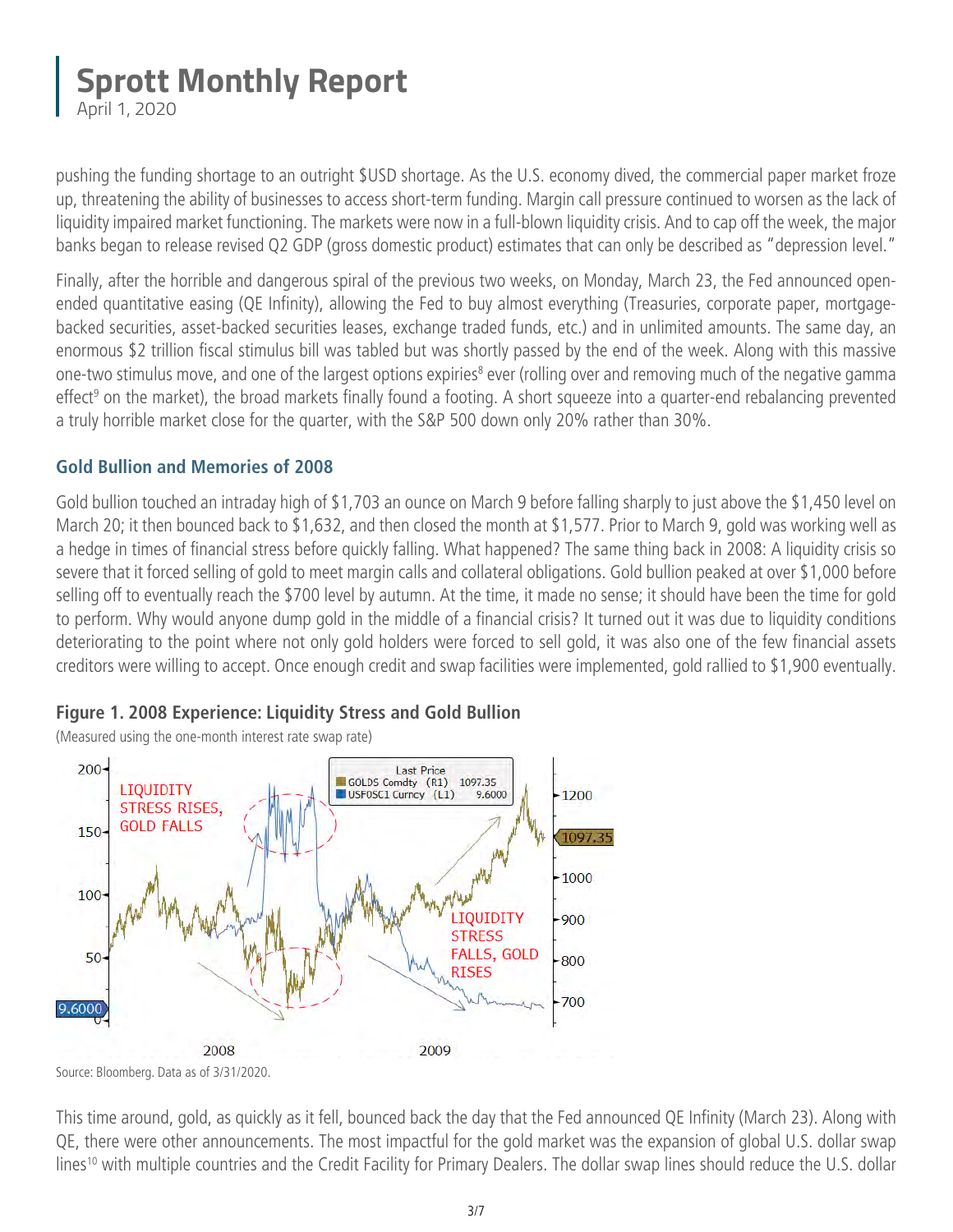April 1, 2020

pushing the funding shortage to an outright \$USD shortage. As the U.S. economy dived, the commercial paper market froze up, threatening the ability of businesses to access short-term funding. Margin call pressure continued to worsen as the lack of liquidity impaired market functioning. The markets were now in a full-blown liquidity crisis. And to cap off the week, the major banks began to release revised Q2 GDP (gross domestic product) estimates that can only be described as "depression level."

Finally, after the horrible and dangerous spiral of the previous two weeks, on Monday, March 23, the Fed announced openended quantitative easing (QE Infinity), allowing the Fed to buy almost everything (Treasuries, corporate paper, mortgagebacked securities, asset-backed securities leases, exchange traded funds, etc.) and in unlimited amounts. The same day, an enormous \$2 trillion fiscal stimulus bill was tabled but was shortly passed by the end of the week. Along with this massive one-two stimulus move, and one of the largest options expiries<sup>8</sup> ever (rolling over and removing much of the negative gamma effect<sup>9</sup> on the market), the broad markets finally found a footing. A short squeeze into a quarter-end rebalancing prevented a truly horrible market close for the quarter, with the S&P 500 down only 20% rather than 30%.

#### **Gold Bullion and Memories of 2008**

Gold bullion touched an intraday high of \$1,703 an ounce on March 9 before falling sharply to just above the \$1,450 level on March 20; it then bounced back to \$1,632, and then closed the month at \$1,577. Prior to March 9, gold was working well as a hedge in times of financial stress before quickly falling. What happened? The same thing back in 2008: A liquidity crisis so severe that it forced selling of gold to meet margin calls and collateral obligations. Gold bullion peaked at over \$1,000 before selling off to eventually reach the \$700 level by autumn. At the time, it made no sense; it should have been the time for gold to perform. Why would anyone dump gold in the middle of a financial crisis? It turned out it was due to liquidity conditions deteriorating to the point where not only gold holders were forced to sell gold, it was also one of the few financial assets creditors were willing to accept. Once enough credit and swap facilities were implemented, gold rallied to \$1,900 eventually.

#### **Figure 1. 2008 Experience: Liquidity Stress and Gold Bullion**

(Measured using the one-month interest rate swap rate)



Source: Bloomberg. Data as of 3/31/2020.

This time around, gold, as quickly as it fell, bounced back the day that the Fed announced QE Infinity (March 23). Along with QE, there were other announcements. The most impactful for the gold market was the expansion of global U.S. dollar swap lines<sup>10</sup> with multiple countries and the Credit Facility for Primary Dealers. The dollar swap lines should reduce the U.S. dollar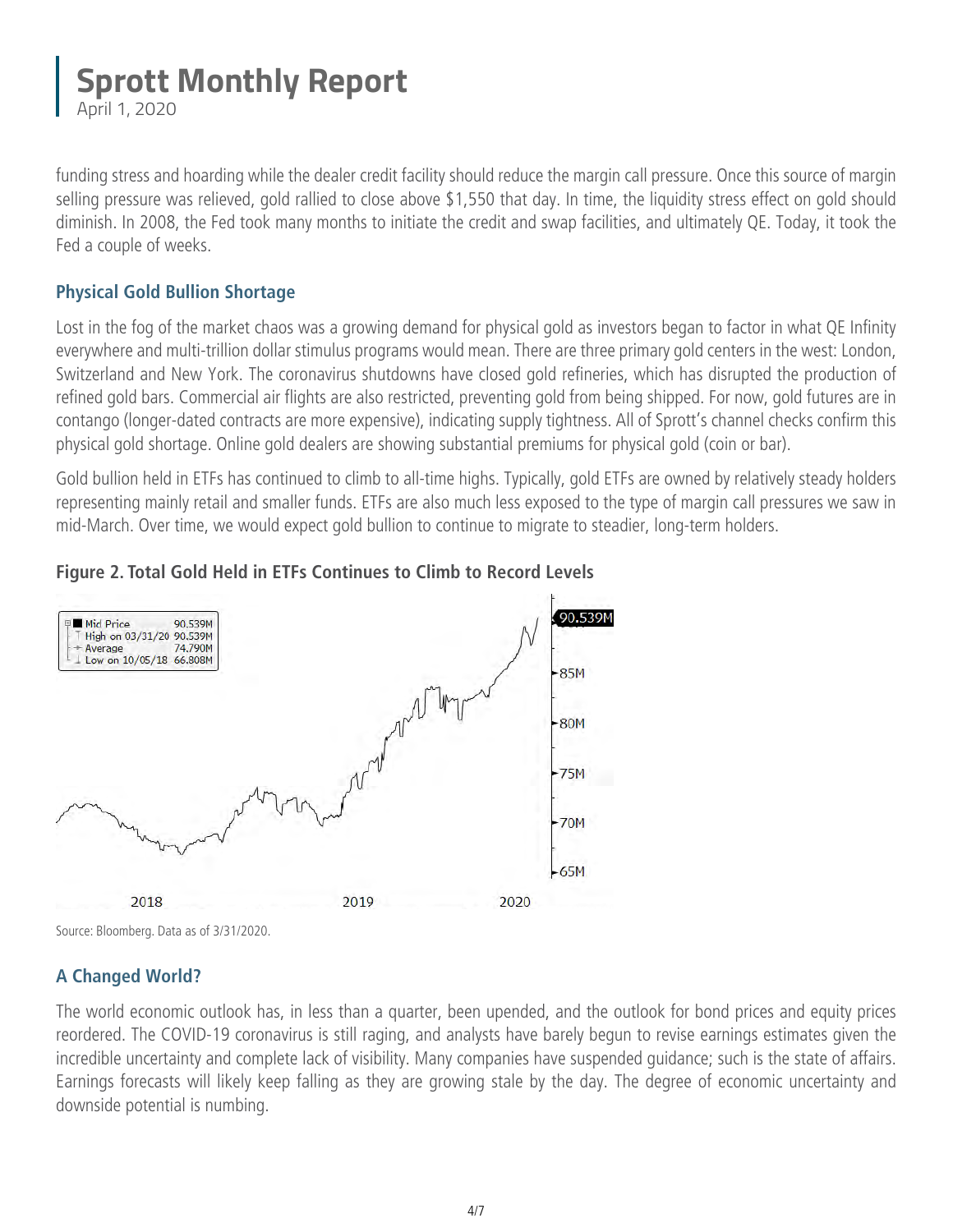April 1, 2020

funding stress and hoarding while the dealer credit facility should reduce the margin call pressure. Once this source of margin selling pressure was relieved, gold rallied to close above \$1,550 that day. In time, the liquidity stress effect on gold should diminish. In 2008, the Fed took many months to initiate the credit and swap facilities, and ultimately QE. Today, it took the Fed a couple of weeks.

#### **Physical Gold Bullion Shortage**

Lost in the fog of the market chaos was a growing demand for physical gold as investors began to factor in what QE Infinity everywhere and multi-trillion dollar stimulus programs would mean. There are three primary gold centers in the west: London, Switzerland and New York. The coronavirus shutdowns have closed gold refineries, which has disrupted the production of refined gold bars. Commercial air flights are also restricted, preventing gold from being shipped. For now, gold futures are in contango (longer-dated contracts are more expensive), indicating supply tightness. All of Sprott's channel checks confirm this physical gold shortage. Online gold dealers are showing substantial premiums for physical gold (coin or bar).

Gold bullion held in ETFs has continued to climb to all-time highs. Typically, gold ETFs are owned by relatively steady holders representing mainly retail and smaller funds. ETFs are also much less exposed to the type of margin call pressures we saw in mid-March. Over time, we would expect gold bullion to continue to migrate to steadier, long-term holders.





Source: Bloomberg. Data as of 3/31/2020.

#### **A Changed World?**

The world economic outlook has, in less than a quarter, been upended, and the outlook for bond prices and equity prices reordered. The COVID-19 coronavirus is still raging, and analysts have barely begun to revise earnings estimates given the incredible uncertainty and complete lack of visibility. Many companies have suspended guidance; such is the state of affairs. Earnings forecasts will likely keep falling as they are growing stale by the day. The degree of economic uncertainty and downside potential is numbing.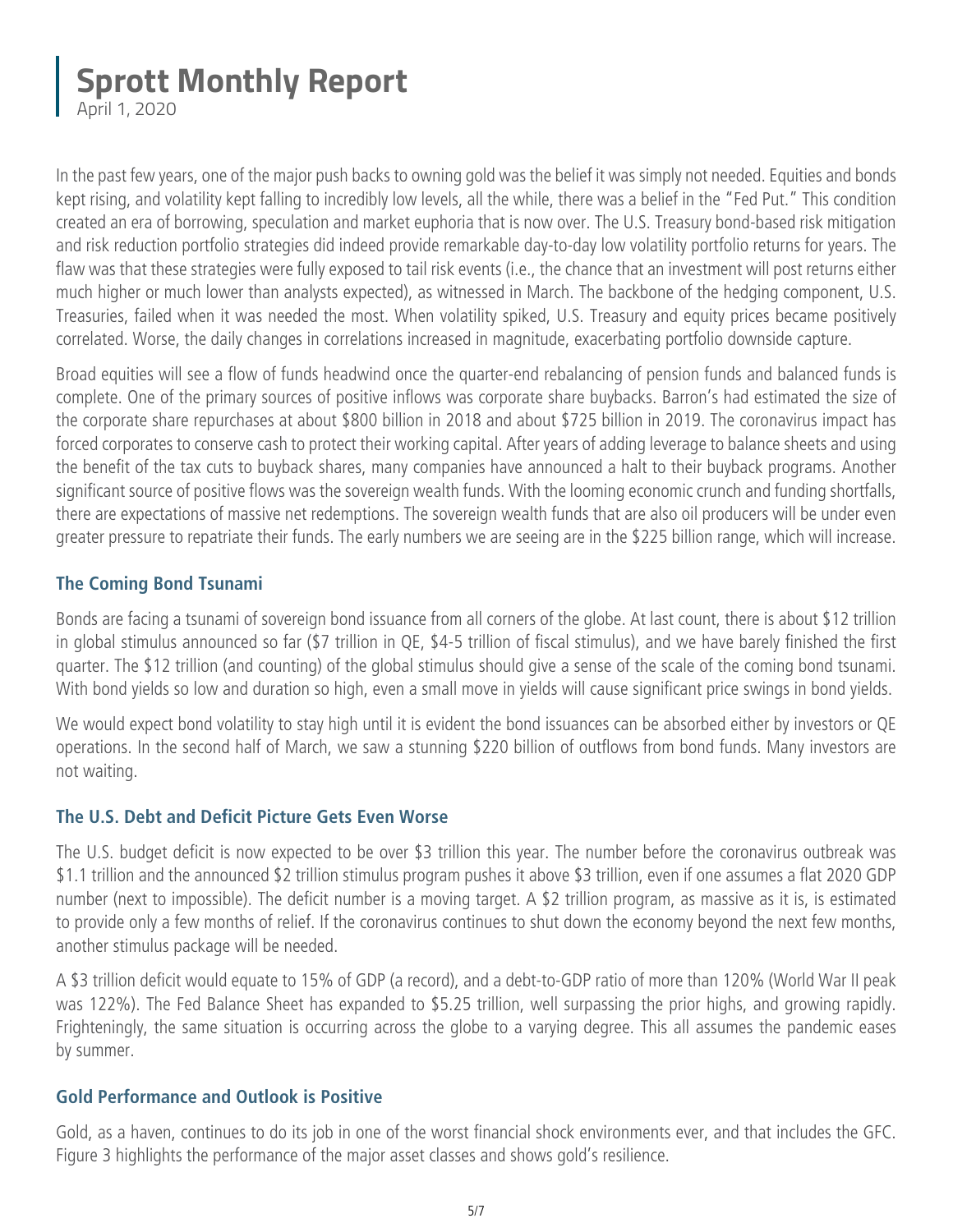April 1, 2020

In the past few years, one of the major push backs to owning gold was the belief it was simply not needed. Equities and bonds kept rising, and volatility kept falling to incredibly low levels, all the while, there was a belief in the "Fed Put." This condition created an era of borrowing, speculation and market euphoria that is now over. The U.S. Treasury bond-based risk mitigation and risk reduction portfolio strategies did indeed provide remarkable day-to-day low volatility portfolio returns for years. The flaw was that these strategies were fully exposed to tail risk events (i.e., the chance that an investment will post returns either much higher or much lower than analysts expected), as witnessed in March. The backbone of the hedging component, U.S. Treasuries, failed when it was needed the most. When volatility spiked, U.S. Treasury and equity prices became positively correlated. Worse, the daily changes in correlations increased in magnitude, exacerbating portfolio downside capture.

Broad equities will see a flow of funds headwind once the quarter-end rebalancing of pension funds and balanced funds is complete. One of the primary sources of positive inflows was corporate share buybacks. Barron's had estimated the size of the corporate share repurchases at about \$800 billion in 2018 and about \$725 billion in 2019. The coronavirus impact has forced corporates to conserve cash to protect their working capital. After years of adding leverage to balance sheets and using the benefit of the tax cuts to buyback shares, many companies have announced a halt to their buyback programs. Another significant source of positive flows was the sovereign wealth funds. With the looming economic crunch and funding shortfalls, there are expectations of massive net redemptions. The sovereign wealth funds that are also oil producers will be under even greater pressure to repatriate their funds. The early numbers we are seeing are in the \$225 billion range, which will increase.

#### **The Coming Bond Tsunami**

Bonds are facing a tsunami of sovereign bond issuance from all corners of the globe. At last count, there is about \$12 trillion in global stimulus announced so far (\$7 trillion in QE, \$4-5 trillion of fiscal stimulus), and we have barely finished the first quarter. The \$12 trillion (and counting) of the global stimulus should give a sense of the scale of the coming bond tsunami. With bond yields so low and duration so high, even a small move in yields will cause significant price swings in bond yields.

We would expect bond volatility to stay high until it is evident the bond issuances can be absorbed either by investors or QE operations. In the second half of March, we saw a stunning \$220 billion of outflows from bond funds. Many investors are not waiting.

#### **The U.S. Debt and Deficit Picture Gets Even Worse**

The U.S. budget deficit is now expected to be over \$3 trillion this year. The number before the coronavirus outbreak was \$1.1 trillion and the announced \$2 trillion stimulus program pushes it above \$3 trillion, even if one assumes a flat 2020 GDP number (next to impossible). The deficit number is a moving target. A \$2 trillion program, as massive as it is, is estimated to provide only a few months of relief. If the coronavirus continues to shut down the economy beyond the next few months, another stimulus package will be needed.

A \$3 trillion deficit would equate to 15% of GDP (a record), and a debt-to-GDP ratio of more than 120% (World War II peak was 122%). The Fed Balance Sheet has expanded to \$5.25 trillion, well surpassing the prior highs, and growing rapidly. Frighteningly, the same situation is occurring across the globe to a varying degree. This all assumes the pandemic eases by summer.

#### **Gold Performance and Outlook is Positive**

Gold, as a haven, continues to do its job in one of the worst financial shock environments ever, and that includes the GFC. Figure 3 highlights the performance of the major asset classes and shows gold's resilience.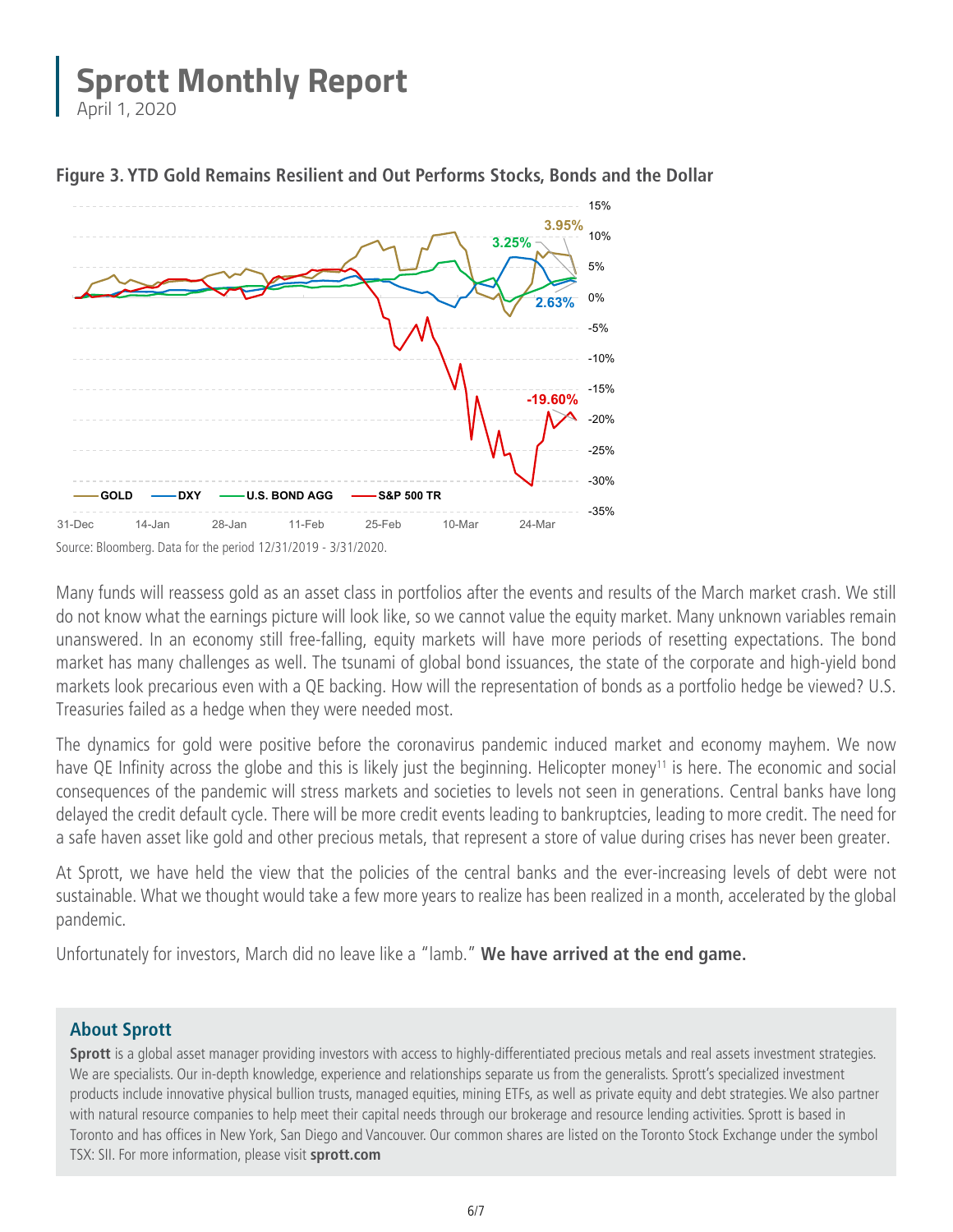April 1, 2020





Many funds will reassess gold as an asset class in portfolios after the events and results of the March market crash. We still do not know what the earnings picture will look like, so we cannot value the equity market. Many unknown variables remain unanswered. In an economy still free-falling, equity markets will have more periods of resetting expectations. The bond market has many challenges as well. The tsunami of global bond issuances, the state of the corporate and high-yield bond markets look precarious even with a QE backing. How will the representation of bonds as a portfolio hedge be viewed? U.S. Treasuries failed as a hedge when they were needed most.

The dynamics for gold were positive before the coronavirus pandemic induced market and economy mayhem. We now have QE Infinity across the globe and this is likely just the beginning. Helicopter money<sup>11</sup> is here. The economic and social consequences of the pandemic will stress markets and societies to levels not seen in generations. Central banks have long delayed the credit default cycle. There will be more credit events leading to bankruptcies, leading to more credit. The need for a safe haven asset like gold and other precious metals, that represent a store of value during crises has never been greater.

At Sprott, we have held the view that the policies of the central banks and the ever-increasing levels of debt were not sustainable. What we thought would take a few more years to realize has been realized in a month, accelerated by the global pandemic.

Unfortunately for investors, March did no leave like a "lamb." **We have arrived at the end game.**

#### **About Sprott**

**Sprott** is a global asset manager providing investors with access to highly-differentiated precious metals and real assets investment strategies. We are specialists. Our in-depth knowledge, experience and relationships separate us from the generalists. Sprott's specialized investment products include innovative physical bullion trusts, managed equities, mining ETFs, as well as private equity and debt strategies. We also partner with natural resource companies to help meet their capital needs through our brokerage and resource lending activities. Sprott is based in Toronto and has offices in New York, San Diego and Vancouver. Our common shares are listed on the Toronto Stock Exchange under the symbol TSX: SII. For more information, please visit **[sprott.com](www.sprott.com)**